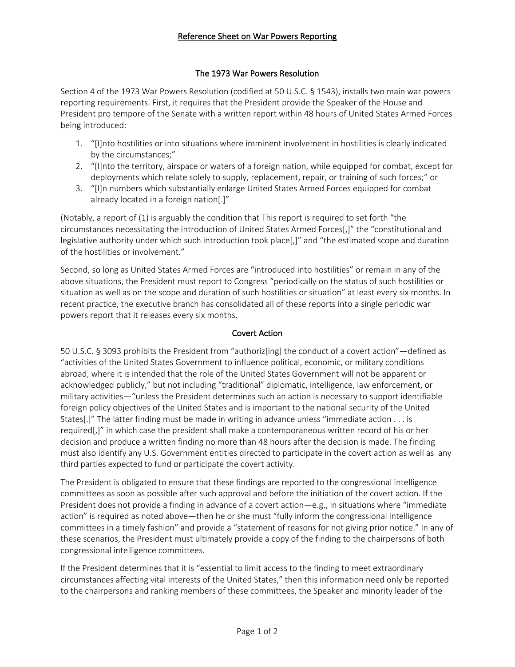## The 1973 War Powers Resolution

Section 4 of the 1973 War Powers Resolution (codified at 50 U.S.C. § 1543), installs two main war powers reporting requirements. First, it requires that the President provide the Speaker of the House and President pro tempore of the Senate with a written report within 48 hours of United States Armed Forces being introduced:

- 1. "[I]nto hostilities or into situations where imminent involvement in hostilities is clearly indicated by the circumstances;"
- 2. "[I]nto the territory, airspace or waters of a foreign nation, while equipped for combat, except for deployments which relate solely to supply, replacement, repair, or training of such forces;" or
- 3. "[I]n numbers which substantially enlarge United States Armed Forces equipped for combat already located in a foreign nation[.]"

(Notably, a report of (1) is arguably the condition that This report is required to set forth "the circumstances necessitating the introduction of United States Armed Forces[,]" the "constitutional and legislative authority under which such introduction took place[,]" and "the estimated scope and duration of the hostilities or involvement."

Second, so long as United States Armed Forces are "introduced into hostilities" or remain in any of the above situations, the President must report to Congress "periodically on the status of such hostilities or situation as well as on the scope and duration of such hostilities or situation" at least every six months. In recent practice, the executive branch has consolidated all of these reports into a single periodic war powers report that it releases every six months.

#### Covert Action

50 U.S.C. § 3093 prohibits the President from "authoriz[ing] the conduct of a covert action"—defined as "activities of the United States Government to influence political, economic, or military conditions abroad, where it is intended that the role of the United States Government will not be apparent or acknowledged publicly," but not including "traditional" diplomatic, intelligence, law enforcement, or military activities—"unless the President determines such an action is necessary to support identifiable foreign policy objectives of the United States and is important to the national security of the United States[.]" The latter finding must be made in writing in advance unless "immediate action . . . is required[,]" in which case the president shall make a contemporaneous written record of his or her decision and produce a written finding no more than 48 hours after the decision is made. The finding must also identify any U.S. Government entities directed to participate in the covert action as well as any third parties expected to fund or participate the covert activity.

The President is obligated to ensure that these findings are reported to the congressional intelligence committees as soon as possible after such approval and before the initiation of the covert action. If the President does not provide a finding in advance of a covert action—e.g., in situations where "immediate action" is required as noted above—then he or she must "fully inform the congressional intelligence committees in a timely fashion" and provide a "statement of reasons for not giving prior notice." In any of these scenarios, the President must ultimately provide a copy of the finding to the chairpersons of both congressional intelligence committees.

If the President determines that it is "essential to limit access to the finding to meet extraordinary circumstances affecting vital interests of the United States," then this information need only be reported to the chairpersons and ranking members of these committees, the Speaker and minority leader of the